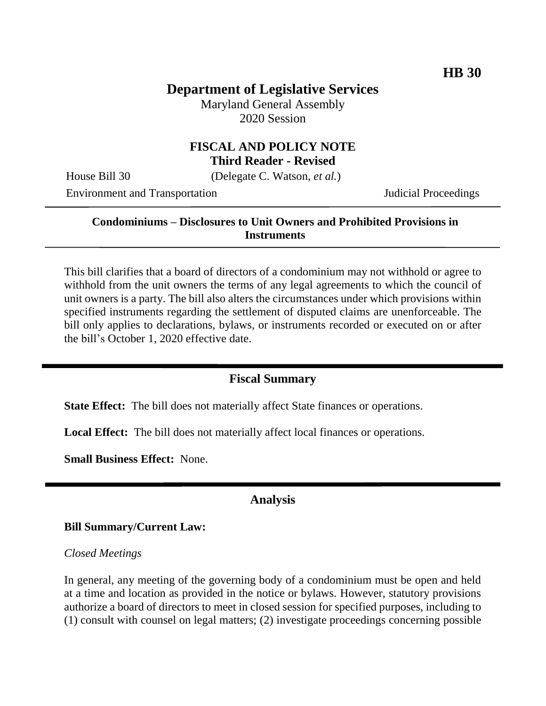## **Department of Legislative Services**

Maryland General Assembly 2020 Session

## **FISCAL AND POLICY NOTE Third Reader - Revised**

House Bill 30 (Delegate C. Watson, *et al.*)

Environment and Transportation Judicial Proceedings

## **Condominiums – Disclosures to Unit Owners and Prohibited Provisions in Instruments**

This bill clarifies that a board of directors of a condominium may not withhold or agree to withhold from the unit owners the terms of any legal agreements to which the council of unit owners is a party. The bill also alters the circumstances under which provisions within specified instruments regarding the settlement of disputed claims are unenforceable. The bill only applies to declarations, bylaws, or instruments recorded or executed on or after the bill's October 1, 2020 effective date.

## **Fiscal Summary**

**State Effect:** The bill does not materially affect State finances or operations.

**Local Effect:** The bill does not materially affect local finances or operations.

**Small Business Effect:** None.

#### **Analysis**

#### **Bill Summary/Current Law:**

#### *Closed Meetings*

In general, any meeting of the governing body of a condominium must be open and held at a time and location as provided in the notice or bylaws. However, statutory provisions authorize a board of directors to meet in closed session for specified purposes, including to (1) consult with counsel on legal matters; (2) investigate proceedings concerning possible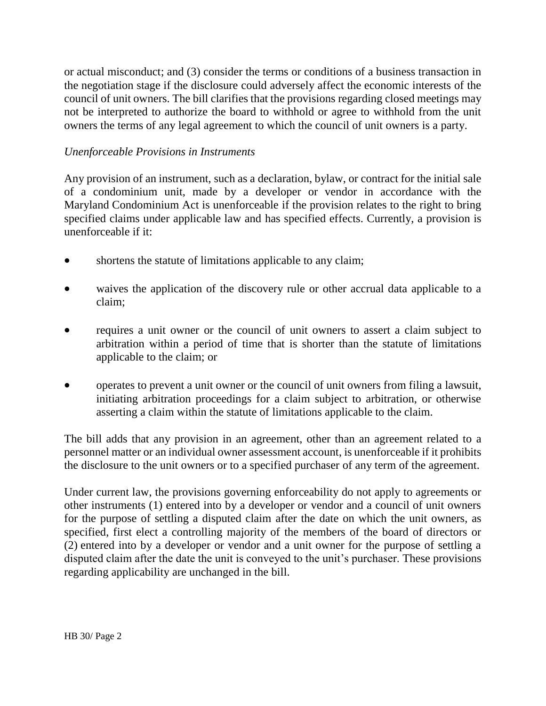or actual misconduct; and (3) consider the terms or conditions of a business transaction in the negotiation stage if the disclosure could adversely affect the economic interests of the council of unit owners. The bill clarifies that the provisions regarding closed meetings may not be interpreted to authorize the board to withhold or agree to withhold from the unit owners the terms of any legal agreement to which the council of unit owners is a party.

## *Unenforceable Provisions in Instruments*

Any provision of an instrument, such as a declaration, bylaw, or contract for the initial sale of a condominium unit, made by a developer or vendor in accordance with the Maryland Condominium Act is unenforceable if the provision relates to the right to bring specified claims under applicable law and has specified effects. Currently, a provision is unenforceable if it:

- shortens the statute of limitations applicable to any claim;
- waives the application of the discovery rule or other accrual data applicable to a claim;
- requires a unit owner or the council of unit owners to assert a claim subject to arbitration within a period of time that is shorter than the statute of limitations applicable to the claim; or
- operates to prevent a unit owner or the council of unit owners from filing a lawsuit, initiating arbitration proceedings for a claim subject to arbitration, or otherwise asserting a claim within the statute of limitations applicable to the claim.

The bill adds that any provision in an agreement, other than an agreement related to a personnel matter or an individual owner assessment account, is unenforceable if it prohibits the disclosure to the unit owners or to a specified purchaser of any term of the agreement.

Under current law, the provisions governing enforceability do not apply to agreements or other instruments (1) entered into by a developer or vendor and a council of unit owners for the purpose of settling a disputed claim after the date on which the unit owners, as specified, first elect a controlling majority of the members of the board of directors or (2) entered into by a developer or vendor and a unit owner for the purpose of settling a disputed claim after the date the unit is conveyed to the unit's purchaser. These provisions regarding applicability are unchanged in the bill.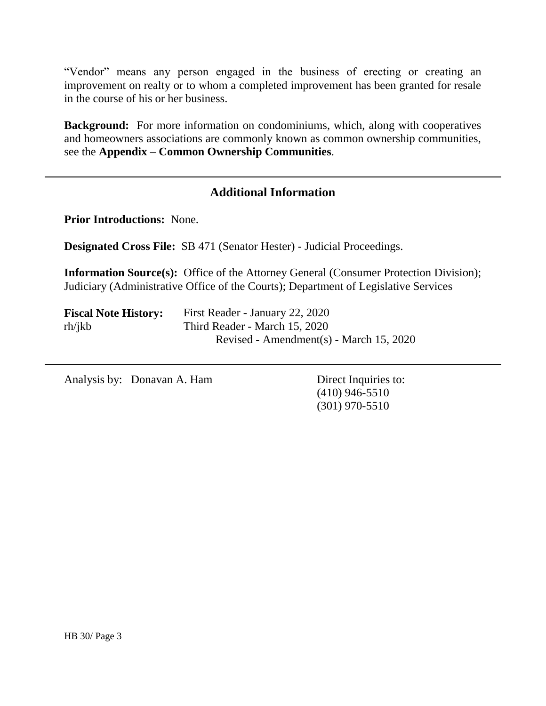"Vendor" means any person engaged in the business of erecting or creating an improvement on realty or to whom a completed improvement has been granted for resale in the course of his or her business.

**Background:** For more information on condominiums, which, along with cooperatives and homeowners associations are commonly known as common ownership communities, see the **Appendix – Common Ownership Communities**.

## **Additional Information**

**Prior Introductions:** None.

**Designated Cross File:** SB 471 (Senator Hester) - Judicial Proceedings.

**Information Source(s):** Office of the Attorney General (Consumer Protection Division); Judiciary (Administrative Office of the Courts); Department of Legislative Services

| <b>Fiscal Note History:</b> | First Reader - January 22, 2020         |
|-----------------------------|-----------------------------------------|
| rh/ikb                      | Third Reader - March 15, 2020           |
|                             | Revised - Amendment(s) - March 15, 2020 |

Analysis by: Donavan A. Ham Direct Inquiries to:

(410) 946-5510 (301) 970-5510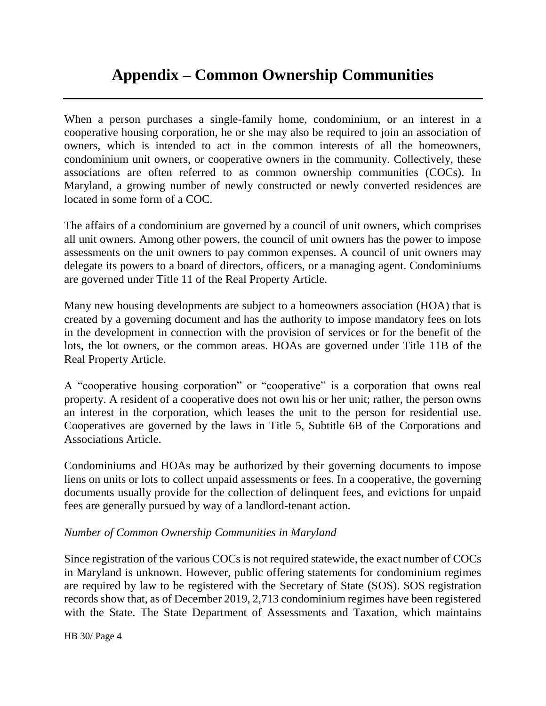# **Appendix – Common Ownership Communities**

When a person purchases a single-family home, condominium, or an interest in a cooperative housing corporation, he or she may also be required to join an association of owners, which is intended to act in the common interests of all the homeowners, condominium unit owners, or cooperative owners in the community. Collectively, these associations are often referred to as common ownership communities (COCs). In Maryland, a growing number of newly constructed or newly converted residences are located in some form of a COC.

The affairs of a condominium are governed by a council of unit owners, which comprises all unit owners. Among other powers, the council of unit owners has the power to impose assessments on the unit owners to pay common expenses. A council of unit owners may delegate its powers to a board of directors, officers, or a managing agent. Condominiums are governed under Title 11 of the Real Property Article.

Many new housing developments are subject to a homeowners association (HOA) that is created by a governing document and has the authority to impose mandatory fees on lots in the development in connection with the provision of services or for the benefit of the lots, the lot owners, or the common areas. HOAs are governed under Title 11B of the Real Property Article.

A "cooperative housing corporation" or "cooperative" is a corporation that owns real property. A resident of a cooperative does not own his or her unit; rather, the person owns an interest in the corporation, which leases the unit to the person for residential use. Cooperatives are governed by the laws in Title 5, Subtitle 6B of the Corporations and Associations Article.

Condominiums and HOAs may be authorized by their governing documents to impose liens on units or lots to collect unpaid assessments or fees. In a cooperative, the governing documents usually provide for the collection of delinquent fees, and evictions for unpaid fees are generally pursued by way of a landlord-tenant action.

#### *Number of Common Ownership Communities in Maryland*

Since registration of the various COCs is not required statewide, the exact number of COCs in Maryland is unknown. However, public offering statements for condominium regimes are required by law to be registered with the Secretary of State (SOS). SOS registration records show that, as of December 2019, 2,713 condominium regimes have been registered with the State. The State Department of Assessments and Taxation, which maintains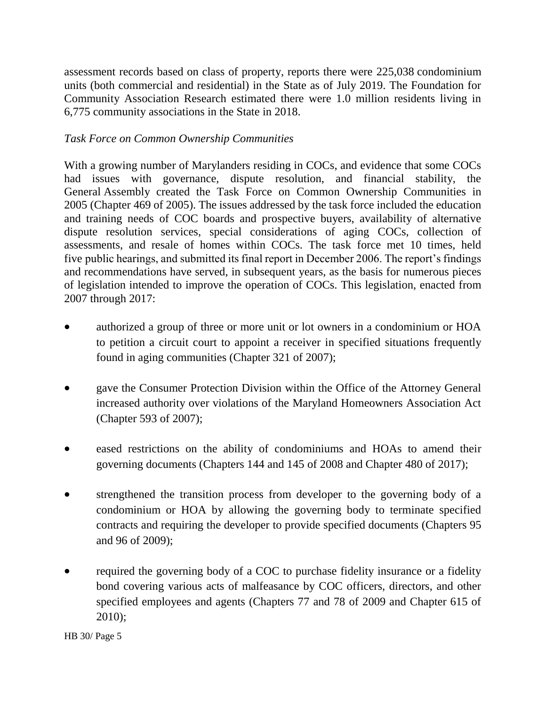assessment records based on class of property, reports there were 225,038 condominium units (both commercial and residential) in the State as of July 2019. The Foundation for Community Association Research estimated there were 1.0 million residents living in 6,775 community associations in the State in 2018.

## *Task Force on Common Ownership Communities*

With a growing number of Marylanders residing in COCs, and evidence that some COCs had issues with governance, dispute resolution, and financial stability, the General Assembly created the Task Force on Common Ownership Communities in 2005 (Chapter 469 of 2005). The issues addressed by the task force included the education and training needs of COC boards and prospective buyers, availability of alternative dispute resolution services, special considerations of aging COCs, collection of assessments, and resale of homes within COCs. The task force met 10 times, held five public hearings, and submitted its final report in December 2006. The report's findings and recommendations have served, in subsequent years, as the basis for numerous pieces of legislation intended to improve the operation of COCs. This legislation, enacted from 2007 through 2017:

- authorized a group of three or more unit or lot owners in a condominium or HOA to petition a circuit court to appoint a receiver in specified situations frequently found in aging communities (Chapter 321 of 2007);
- gave the Consumer Protection Division within the Office of the Attorney General increased authority over violations of the Maryland Homeowners Association Act (Chapter 593 of 2007);
- eased restrictions on the ability of condominiums and HOAs to amend their governing documents (Chapters 144 and 145 of 2008 and Chapter 480 of 2017);
- strengthened the transition process from developer to the governing body of a condominium or HOA by allowing the governing body to terminate specified contracts and requiring the developer to provide specified documents (Chapters 95 and 96 of 2009);
- required the governing body of a COC to purchase fidelity insurance or a fidelity bond covering various acts of malfeasance by COC officers, directors, and other specified employees and agents (Chapters 77 and 78 of 2009 and Chapter 615 of 2010);